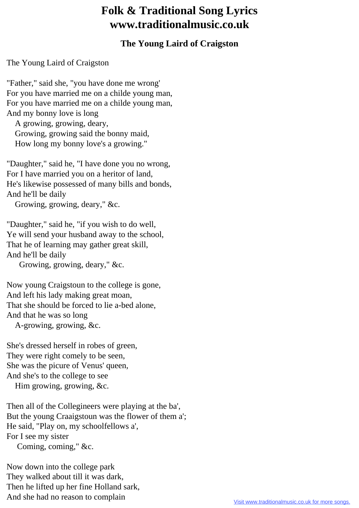## **Folk & Traditional Song Lyrics www.traditionalmusic.co.uk**

## **The Young Laird of Craigston**

The Young Laird of Craigston

"Father," said she, "you have done me wrong' For you have married me on a childe young man, For you have married me on a childe young man, And my bonny love is long

 A growing, growing, deary, Growing, growing said the bonny maid, How long my bonny love's a growing."

"Daughter," said he, "I have done you no wrong, For I have married you on a heritor of land, He's likewise possessed of many bills and bonds, And he'll be daily

Growing, growing, deary," &c.

"Daughter," said he, "if you wish to do well, Ye will send your husband away to the school, That he of learning may gather great skill, And he'll be daily

Growing, growing, deary," &c.

Now young Craigstoun to the college is gone, And left his lady making great moan, That she should be forced to lie a-bed alone, And that he was so long

A-growing, growing, &c.

She's dressed herself in robes of green, They were right comely to be seen, She was the picure of Venus' queen, And she's to the college to see Him growing, growing, &c.

Then all of the Collegineers were playing at the ba', But the young Craaigstoun was the flower of them a'; He said, "Play on, my schoolfellows a', For I see my sister Coming, coming," &c.

Now down into the college park They walked about till it was dark, Then he lifted up her fine Holland sark, And she had no reason to complain